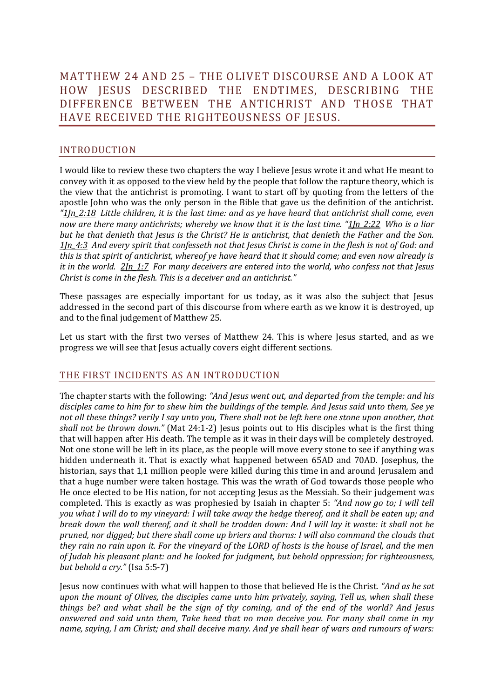# MATTHEW 24 AND 25 – THE OLIVET DISCOURSE AND A LOOK AT HOW JESUS DESCRIBED THE ENDTIMES, DESCRIBING THE DIFFERENCE BETWEEN THE ANTICHRIST AND THOSE THAT HAVE RECEIVED THE RIGHTEOUSNESS OF JESUS.

# INTRODUCTION

I would like to review these two chapters the way I believe Jesus wrote it and what He meant to convey with it as opposed to the view held by the people that follow the rapture theory, which is the view that the antichrist is promoting. I want to start off by quoting from the letters of the apostle John who was the only person in the Bible that gave us the definition of the antichrist. *"1Jn\_2:18 Little children, it is the last time: and as ye have heard that antichrist shall come, even now are there many antichrists; whereby we know that it is the last time. "1Jn\_2:22 Who is a liar but he that denieth that Jesus is the Christ? He is antichrist, that denieth the Father and the Son. 1Jn\_4:3 And every spirit that confesseth not that Jesus Christ is come in the flesh is not of God: and this is that spirit of antichrist, whereof ye have heard that it should come; and even now already is it in the world. 2Jn\_1:7 For many deceivers are entered into the world, who confess not that Jesus Christ is come in the flesh. This is a deceiver and an antichrist."*

These passages are especially important for us today, as it was also the subject that Jesus addressed in the second part of this discourse from where earth as we know it is destroyed, up and to the final judgement of Matthew 25.

Let us start with the first two verses of Matthew 24. This is where Jesus started, and as we progress we will see that Jesus actually covers eight different sections.

# THE FIRST INCIDENTS AS AN INTRODUCTION

The chapter starts with the following: *"And Jesus went out, and departed from the temple: and his disciples came to him for to shew him the buildings of the temple. And Jesus said unto them, See ye not all these things? verily I say unto you, There shall not be left here one stone upon another, that shall not be thrown down."* (Mat 24:1-2) Jesus points out to His disciples what is the first thing that will happen after His death. The temple as it was in their days will be completely destroyed. Not one stone will be left in its place, as the people will move every stone to see if anything was hidden underneath it. That is exactly what happened between 65AD and 70AD. Josephus, the historian, says that 1,1 million people were killed during this time in and around Jerusalem and that a huge number were taken hostage. This was the wrath of God towards those people who He once elected to be His nation, for not accepting Jesus as the Messiah. So their judgement was completed. This is exactly as was prophesied by Isaiah in chapter 5: *"And now go to; I will tell you what I will do to my vineyard: I will take away the hedge thereof, and it shall be eaten up; and break down the wall thereof, and it shall be trodden down: And I will lay it waste: it shall not be pruned, nor digged; but there shall come up briers and thorns: I will also command the clouds that they rain no rain upon it. For the vineyard of the LORD of hosts is the house of Israel, and the men of Judah his pleasant plant: and he looked for judgment, but behold oppression; for righteousness, but behold a cry."* (Isa 5:5-7)

Jesus now continues with what will happen to those that believed He is the Christ. *"And as he sat upon the mount of Olives, the disciples came unto him privately, saying, Tell us, when shall these things be? and what shall be the sign of thy coming, and of the end of the world? And Jesus answered and said unto them, Take heed that no man deceive you. For many shall come in my name, saying, I am Christ; and shall deceive many. And ye shall hear of wars and rumours of wars:*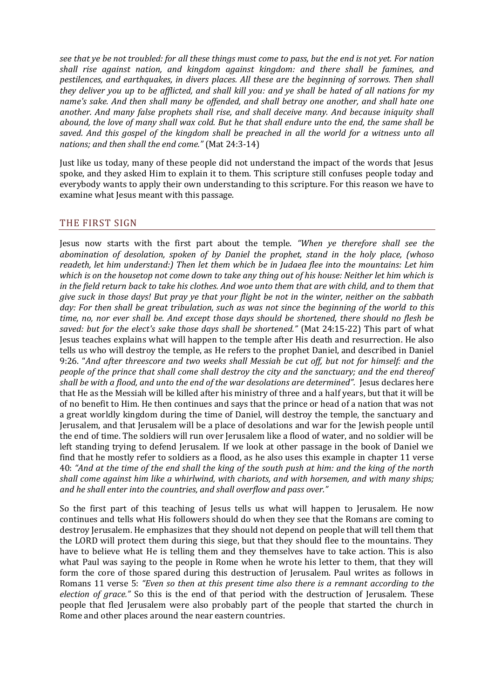*see that ye be not troubled: for all these things must come to pass, but the end is not yet. For nation shall rise against nation, and kingdom against kingdom: and there shall be famines, and pestilences, and earthquakes, in divers places. All these are the beginning of sorrows. Then shall they deliver you up to be afflicted, and shall kill you: and ye shall be hated of all nations for my name's sake. And then shall many be offended, and shall betray one another, and shall hate one another. And many false prophets shall rise, and shall deceive many. And because iniquity shall abound, the love of many shall wax cold. But he that shall endure unto the end, the same shall be saved. And this gospel of the kingdom shall be preached in all the world for a witness unto all nations; and then shall the end come."* (Mat 24:3-14)

Just like us today, many of these people did not understand the impact of the words that Jesus spoke, and they asked Him to explain it to them. This scripture still confuses people today and everybody wants to apply their own understanding to this scripture. For this reason we have to examine what Jesus meant with this passage.

## THE FIRST SIGN

Jesus now starts with the first part about the temple. *"When ye therefore shall see the abomination of desolation, spoken of by Daniel the prophet, stand in the holy place, (whoso readeth, let him understand:) Then let them which be in Judaea flee into the mountains: Let him which is on the housetop not come down to take any thing out of his house: Neither let him which is in the field return back to take his clothes. And woe unto them that are with child, and to them that give suck in those days! But pray ye that your flight be not in the winter, neither on the sabbath day: For then shall be great tribulation, such as was not since the beginning of the world to this time, no, nor ever shall be. And except those days should be shortened, there should no flesh be saved: but for the elect's sake those days shall be shortened."* (Mat 24:15-22) This part of what Jesus teaches explains what will happen to the temple after His death and resurrection. He also tells us who will destroy the temple, as He refers to the prophet Daniel, and described in Daniel 9:26. "*And after threescore and two weeks shall Messiah be cut off, but not for himself: and the people of the prince that shall come shall destroy the city and the sanctuary; and the end thereof shall be with a flood, and unto the end of the war desolations are determined".* Jesus declares here that He as the Messiah will be killed after his ministry of three and a half years, but that it will be of no benefit to Him. He then continues and says that the prince or head of a nation that was not a great worldly kingdom during the time of Daniel, will destroy the temple, the sanctuary and Jerusalem, and that Jerusalem will be a place of desolations and war for the Jewish people until the end of time. The soldiers will run over Jerusalem like a flood of water, and no soldier will be left standing trying to defend Jerusalem. If we look at other passage in the book of Daniel we find that he mostly refer to soldiers as a flood, as he also uses this example in chapter 11 verse 40: *"And at the time of the end shall the king of the south push at him: and the king of the north shall come against him like a whirlwind, with chariots, and with horsemen, and with many ships; and he shall enter into the countries, and shall overflow and pass over."*

So the first part of this teaching of Jesus tells us what will happen to Jerusalem. He now continues and tells what His followers should do when they see that the Romans are coming to destroy Jerusalem. He emphasizes that they should not depend on people that will tell them that the LORD will protect them during this siege, but that they should flee to the mountains. They have to believe what He is telling them and they themselves have to take action. This is also what Paul was saying to the people in Rome when he wrote his letter to them, that they will form the core of those spared during this destruction of Jerusalem. Paul writes as follows in Romans 11 verse 5: *"Even so then at this present time also there is a remnant according to the election of grace."* So this is the end of that period with the destruction of Jerusalem. These people that fled Jerusalem were also probably part of the people that started the church in Rome and other places around the near eastern countries.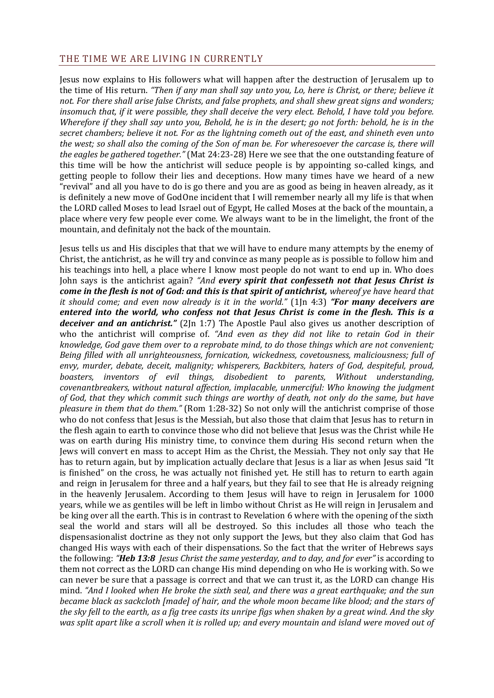#### THE TIME WE ARE LIVING IN CURRENTLY

Jesus now explains to His followers what will happen after the destruction of Jerusalem up to the time of His return. *"Then if any man shall say unto you, Lo, here is Christ, or there; believe it not. For there shall arise false Christs, and false prophets, and shall shew great signs and wonders; insomuch that, if it were possible, they shall deceive the very elect. Behold, I have told you before. Wherefore if they shall say unto you, Behold, he is in the desert; go not forth: behold, he is in the secret chambers; believe it not. For as the lightning cometh out of the east, and shineth even unto the west; so shall also the coming of the Son of man be. For wheresoever the carcase is, there will the eagles be gathered together."* (Mat 24:23-28) Here we see that the one outstanding feature of this time will be how the antichrist will seduce people is by appointing so-called kings, and getting people to follow their lies and deceptions. How many times have we heard of a new "revival" and all you have to do is go there and you are as good as being in heaven already, as it is definitely a new move of GodOne incident that I will remember nearly all my life is that when the LORD called Moses to lead Israel out of Egypt, He called Moses at the back of the mountain, a place where very few people ever come. We always want to be in the limelight, the front of the mountain, and definitaly not the back of the mountain.

Jesus tells us and His disciples that that we will have to endure many attempts by the enemy of Christ, the antichrist, as he will try and convince as many people as is possible to follow him and his teachings into hell, a place where I know most people do not want to end up in. Who does John says is the antichrist again? *"And every spirit that confesseth not that Jesus Christ is come in the flesh is not of God: and this is that spirit of antichrist, whereof ye have heard that it should come; and even now already is it in the world."* (1Jn 4:3) *"For many deceivers are entered into the world, who confess not that Jesus Christ is come in the flesh. This is a deceiver and an antichrist."* (2Jn 1:7) The Apostle Paul also gives us another description of who the antichrist will comprise of. *"And even as they did not like to retain God in their knowledge, God gave them over to a reprobate mind, to do those things which are not convenient; Being filled with all unrighteousness, fornication, wickedness, covetousness, maliciousness; full of envy, murder, debate, deceit, malignity; whisperers, Backbiters, haters of God, despiteful, proud, boasters, inventors of evil things, disobedient to parents, Without understanding, covenantbreakers, without natural affection, implacable, unmerciful: Who knowing the judgment of God, that they which commit such things are worthy of death, not only do the same, but have pleasure in them that do them."* (Rom 1:28-32) So not only will the antichrist comprise of those who do not confess that Jesus is the Messiah, but also those that claim that Jesus has to return in the flesh again to earth to convince those who did not believe that Jesus was the Christ while He was on earth during His ministry time, to convince them during His second return when the Jews will convert en mass to accept Him as the Christ, the Messiah. They not only say that He has to return again, but by implication actually declare that Jesus is a liar as when Jesus said "It is finished" on the cross, he was actually not finished yet. He still has to return to earth again and reign in Jerusalem for three and a half years, but they fail to see that He is already reigning in the heavenly Jerusalem. According to them Jesus will have to reign in Jerusalem for 1000 years, while we as gentiles will be left in limbo without Christ as He will reign in Jerusalem and be king over all the earth. This is in contrast to Revelation 6 where with the opening of the sixth seal the world and stars will all be destroyed. So this includes all those who teach the dispensasionalist doctrine as they not only support the Jews, but they also claim that God has changed His ways with each of their dispensations. So the fact that the writer of Hebrews says the following: *"Heb 13:8 Jesus Christ the same yesterday, and to day, and for ever"* is according to them not correct as the LORD can change His mind depending on who He is working with. So we can never be sure that a passage is correct and that we can trust it, as the LORD can change His mind. *"And I looked when He broke the sixth seal, and there was a great earthquake; and the sun became black as sackcloth [made] of hair, and the whole moon became like blood; and the stars of the sky fell to the earth, as a fig tree casts its unripe figs when shaken by a great wind. And the sky was split apart like a scroll when it is rolled up; and every mountain and island were moved out of*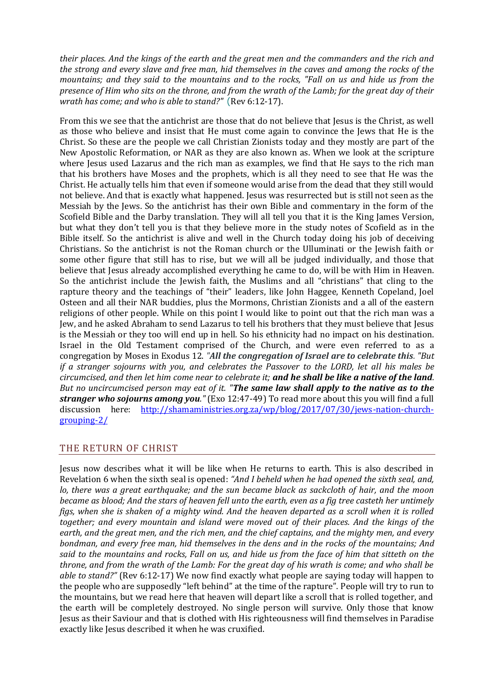*their places. And the kings of the earth and the great men and the commanders and the rich and the strong and every slave and free man, hid themselves in the caves and among the rocks of the mountains; and they said to the mountains and to the rocks, "Fall on us and hide us from the presence of Him who sits on the throne, and from the wrath of the Lamb; for the great day of their wrath has come; and who is able to stand?"* (Rev 6:12-17).

From this we see that the antichrist are those that do not believe that Jesus is the Christ, as well as those who believe and insist that He must come again to convince the Jews that He is the Christ. So these are the people we call Christian Zionists today and they mostly are part of the New Apostolic Reformation, or NAR as they are also known as. When we look at the scripture where Jesus used Lazarus and the rich man as examples, we find that He says to the rich man that his brothers have Moses and the prophets, which is all they need to see that He was the Christ. He actually tells him that even if someone would arise from the dead that they still would not believe. And that is exactly what happened. Jesus was resurrected but is still not seen as the Messiah by the Jews. So the antichrist has their own Bible and commentary in the form of the Scofield Bible and the Darby translation. They will all tell you that it is the King James Version, but what they don't tell you is that they believe more in the study notes of Scofield as in the Bible itself. So the antichrist is alive and well in the Church today doing his job of deceiving Christians. So the antichrist is not the Roman church or the Ulluminati or the Jewish faith or some other figure that still has to rise, but we will all be judged individually, and those that believe that Jesus already accomplished everything he came to do, will be with Him in Heaven. So the antichrist include the Jewish faith, the Muslims and all "christians" that cling to the rapture theory and the teachings of "their" leaders, like John Haggee, Kenneth Copeland, Joel Osteen and all their NAR buddies, plus the Mormons, Christian Zionists and a all of the eastern religions of other people. While on this point I would like to point out that the rich man was a Jew, and he asked Abraham to send Lazarus to tell his brothers that they must believe that Jesus is the Messiah or they too will end up in hell. So his ethnicity had no impact on his destination. Israel in the Old Testament comprised of the Church, and were even referred to as a congregation by Moses in Exodus 12. *"All the congregation of Israel are to celebrate this. "But if a stranger sojourns with you, and celebrates the Passover to the LORD, let all his males be circumcised, and then let him come near to celebrate it; and he shall be like a native of the land. But no uncircumcised person may eat of it. "The same law shall apply to the native as to the stranger who sojourns among you."* (Exo 12:47-49) To read more about this you will find a full discussion here: [http://shamaministries.org.za/wp/blog/2017/07/30/jews-nation-church](http://shamaministries.org.za/wp/blog/2017/07/30/jews-nation-church-grouping-2/)[grouping-2/](http://shamaministries.org.za/wp/blog/2017/07/30/jews-nation-church-grouping-2/)

# THE RETURN OF CHRIST

Jesus now describes what it will be like when He returns to earth. This is also described in Revelation 6 when the sixth seal is opened: *"And I beheld when he had opened the sixth seal, and, lo, there was a great earthquake; and the sun became black as sackcloth of hair, and the moon became as blood; And the stars of heaven fell unto the earth, even as a fig tree casteth her untimely figs, when she is shaken of a mighty wind. And the heaven departed as a scroll when it is rolled together; and every mountain and island were moved out of their places. And the kings of the earth, and the great men, and the rich men, and the chief captains, and the mighty men, and every bondman, and every free man, hid themselves in the dens and in the rocks of the mountains; And said to the mountains and rocks, Fall on us, and hide us from the face of him that sitteth on the throne, and from the wrath of the Lamb: For the great day of his wrath is come; and who shall be able to stand?"* (Rev 6:12-17) We now find exactly what people are saying today will happen to the people who are supposedly "left behind" at the time of the rapture". People will try to run to the mountains, but we read here that heaven will depart like a scroll that is rolled together, and the earth will be completely destroyed. No single person will survive. Only those that know Jesus as their Saviour and that is clothed with His righteousness will find themselves in Paradise exactly like Jesus described it when he was cruxified.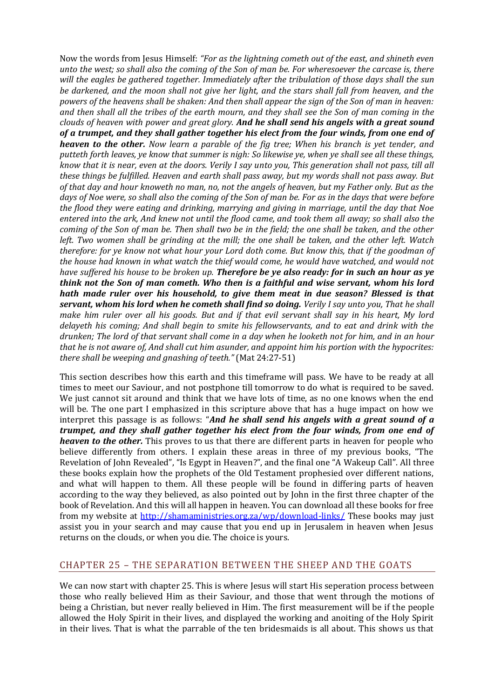Now the words from Jesus Himself: *"For as the lightning cometh out of the east, and shineth even unto the west; so shall also the coming of the Son of man be. For wheresoever the carcase is, there will the eagles be gathered together. Immediately after the tribulation of those days shall the sun be darkened, and the moon shall not give her light, and the stars shall fall from heaven, and the powers of the heavens shall be shaken: And then shall appear the sign of the Son of man in heaven: and then shall all the tribes of the earth mourn, and they shall see the Son of man coming in the clouds of heaven with power and great glory. And he shall send his angels with a great sound of a trumpet, and they shall gather together his elect from the four winds, from one end of heaven to the other. Now learn a parable of the fig tree; When his branch is yet tender, and putteth forth leaves, ye know that summer is nigh: So likewise ye, when ye shall see all these things, know that it is near, even at the doors. Verily I say unto you, This generation shall not pass, till all these things be fulfilled. Heaven and earth shall pass away, but my words shall not pass away. But of that day and hour knoweth no man, no, not the angels of heaven, but my Father only. But as the days of Noe were, so shall also the coming of the Son of man be. For as in the days that were before the flood they were eating and drinking, marrying and giving in marriage, until the day that Noe entered into the ark, And knew not until the flood came, and took them all away; so shall also the coming of the Son of man be. Then shall two be in the field; the one shall be taken, and the other left. Two women shall be grinding at the mill; the one shall be taken, and the other left. Watch therefore: for ye know not what hour your Lord doth come. But know this, that if the goodman of the house had known in what watch the thief would come, he would have watched, and would not have suffered his house to be broken up. Therefore be ye also ready: for in such an hour as ye think not the Son of man cometh. Who then is a faithful and wise servant, whom his lord hath made ruler over his household, to give them meat in due season? Blessed is that servant, whom his lord when he cometh shall find so doing. Verily I say unto you, That he shall make him ruler over all his goods. But and if that evil servant shall say in his heart, My lord delayeth his coming; And shall begin to smite his fellowservants, and to eat and drink with the drunken; The lord of that servant shall come in a day when he looketh not for him, and in an hour that he is not aware of, And shall cut him asunder, and appoint him his portion with the hypocrites: there shall be weeping and gnashing of teeth."* (Mat 24:27-51)

This section describes how this earth and this timeframe will pass. We have to be ready at all times to meet our Saviour, and not postphone till tomorrow to do what is required to be saved. We just cannot sit around and think that we have lots of time, as no one knows when the end will be. The one part I emphasized in this scripture above that has a huge impact on how we interpret this passage is as follows: "*And he shall send his angels with a great sound of a trumpet, and they shall gather together his elect from the four winds, from one end of heaven to the other.* This proves to us that there are different parts in heaven for people who believe differently from others. I explain these areas in three of my previous books, "The Revelation of John Revealed", "Is Egypt in Heaven?", and the final one "A Wakeup Call". All three these books explain how the prophets of the Old Testament prophesied over different nations, and what will happen to them. All these people will be found in differing parts of heaven according to the way they believed, as also pointed out by John in the first three chapter of the book of Revelation. And this will all happen in heaven. You can download all these books for free from my website at<http://shamaministries.org.za/wp/download-links/> These books may just assist you in your search and may cause that you end up in Jerusalem in heaven when Jesus returns on the clouds, or when you die. The choice is yours.

# CHAPTER 25 – THE SEPARATION BETWEEN THE SHEEP AND THE GOATS

We can now start with chapter 25. This is where Jesus will start His seperation process between those who really believed Him as their Saviour, and those that went through the motions of being a Christian, but never really believed in Him. The first measurement will be if the people allowed the Holy Spirit in their lives, and displayed the working and anoiting of the Holy Spirit in their lives. That is what the parrable of the ten bridesmaids is all about. This shows us that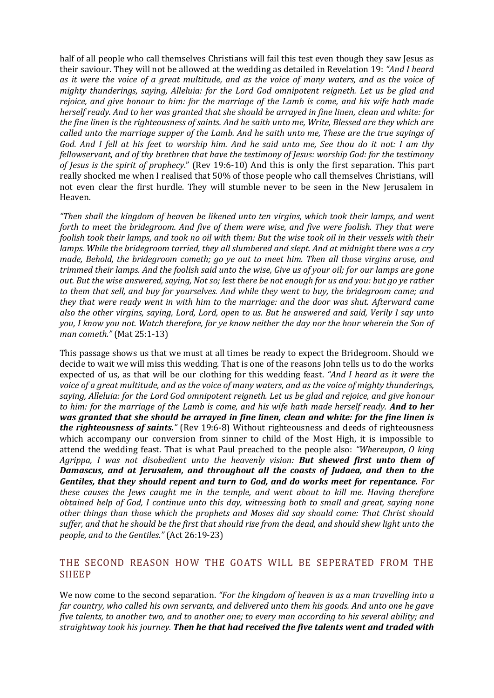half of all people who call themselves Christians will fail this test even though they saw Jesus as their saviour. They will not be allowed at the wedding as detailed in Revelation 19: *"And I heard as it were the voice of a great multitude, and as the voice of many waters, and as the voice of mighty thunderings, saying, Alleluia: for the Lord God omnipotent reigneth. Let us be glad and rejoice, and give honour to him: for the marriage of the Lamb is come, and his wife hath made herself ready. And to her was granted that she should be arrayed in fine linen, clean and white: for the fine linen is the righteousness of saints. And he saith unto me, Write, Blessed are they which are called unto the marriage supper of the Lamb. And he saith unto me, These are the true sayings of God. And I fell at his feet to worship him. And he said unto me, See thou do it not: I am thy fellowservant, and of thy brethren that have the testimony of Jesus: worship God: for the testimony of Jesus is the spirit of prophecy*." (Rev 19:6-10) And this is only the first separation. This part really shocked me when I realised that 50% of those people who call themselves Christians, will not even clear the first hurdle. They will stumble never to be seen in the New Jerusalem in Heaven.

*"Then shall the kingdom of heaven be likened unto ten virgins, which took their lamps, and went forth to meet the bridegroom. And five of them were wise, and five were foolish. They that were foolish took their lamps, and took no oil with them: But the wise took oil in their vessels with their lamps. While the bridegroom tarried, they all slumbered and slept. And at midnight there was a cry made, Behold, the bridegroom cometh; go ye out to meet him. Then all those virgins arose, and trimmed their lamps. And the foolish said unto the wise, Give us of your oil; for our lamps are gone out. But the wise answered, saying, Not so; lest there be not enough for us and you: but go ye rather to them that sell, and buy for yourselves. And while they went to buy, the bridegroom came; and they that were ready went in with him to the marriage: and the door was shut. Afterward came also the other virgins, saying, Lord, Lord, open to us. But he answered and said, Verily I say unto you, I know you not. Watch therefore, for ye know neither the day nor the hour wherein the Son of man cometh."* (Mat 25:1-13)

This passage shows us that we must at all times be ready to expect the Bridegroom. Should we decide to wait we will miss this wedding. That is one of the reasons John tells us to do the works expected of us, as that will be our clothing for this wedding feast. *"And I heard as it were the voice of a great multitude, and as the voice of many waters, and as the voice of mighty thunderings, saying, Alleluia: for the Lord God omnipotent reigneth. Let us be glad and rejoice, and give honour to him: for the marriage of the Lamb is come, and his wife hath made herself ready. And to her was granted that she should be arrayed in fine linen, clean and white: for the fine linen is the righteousness of saints."* (Rev 19:6-8) Without righteousness and deeds of righteousness which accompany our conversion from sinner to child of the Most High, it is impossible to attend the wedding feast. That is what Paul preached to the people also: *"Whereupon, O king Agrippa, I was not disobedient unto the heavenly vision: But shewed first unto them of Damascus, and at Jerusalem, and throughout all the coasts of Judaea, and then to the Gentiles, that they should repent and turn to God, and do works meet for repentance. For these causes the Jews caught me in the temple, and went about to kill me. Having therefore obtained help of God, I continue unto this day, witnessing both to small and great, saying none other things than those which the prophets and Moses did say should come: That Christ should suffer, and that he should be the first that should rise from the dead, and should shew light unto the people, and to the Gentiles."* (Act 26:19-23)

## THE SECOND REASON HOW THE GOATS WILL BE SEPERATED FROM THE SHEEP

We now come to the second separation. *"For the kingdom of heaven is as a man travelling into a far country, who called his own servants, and delivered unto them his goods. And unto one he gave five talents, to another two, and to another one; to every man according to his several ability; and straightway took his journey. Then he that had received the five talents went and traded with*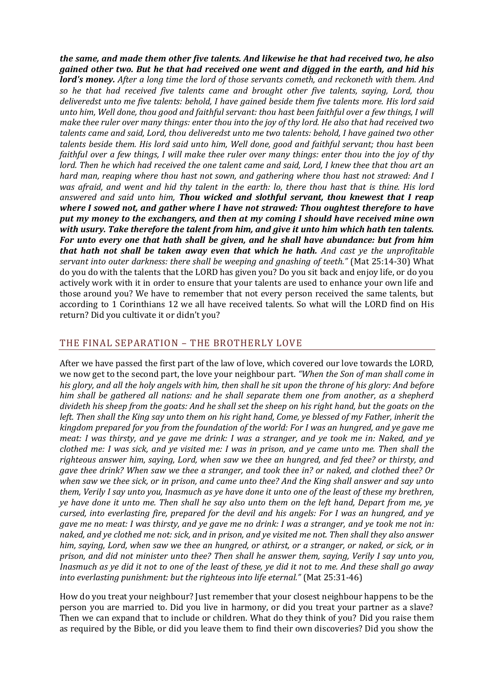*the same, and made them other five talents. And likewise he that had received two, he also gained other two. But he that had received one went and digged in the earth, and hid his lord's money. After a long time the lord of those servants cometh, and reckoneth with them. And so he that had received five talents came and brought other five talents, saying, Lord, thou deliveredst unto me five talents: behold, I have gained beside them five talents more. His lord said unto him, Well done, thou good and faithful servant: thou hast been faithful over a few things, I will make thee ruler over many things: enter thou into the joy of thy lord. He also that had received two talents came and said, Lord, thou deliveredst unto me two talents: behold, I have gained two other talents beside them. His lord said unto him, Well done, good and faithful servant; thou hast been faithful over a few things, I will make thee ruler over many things: enter thou into the joy of thy lord. Then he which had received the one talent came and said, Lord, I knew thee that thou art an hard man, reaping where thou hast not sown, and gathering where thou hast not strawed: And I was afraid, and went and hid thy talent in the earth: lo, there thou hast that is thine. His lord answered and said unto him, Thou wicked and slothful servant, thou knewest that I reap where I sowed not, and gather where I have not strawed: Thou oughtest therefore to have put my money to the exchangers, and then at my coming I should have received mine own with usury. Take therefore the talent from him, and give it unto him which hath ten talents. For unto every one that hath shall be given, and he shall have abundance: but from him that hath not shall be taken away even that which he hath. And cast ye the unprofitable servant into outer darkness: there shall be weeping and gnashing of teeth."* (Mat 25:14-30) What do you do with the talents that the LORD has given you? Do you sit back and enjoy life, or do you actively work with it in order to ensure that your talents are used to enhance your own life and those around you? We have to remember that not every person received the same talents, but according to 1 Corinthians 12 we all have received talents. So what will the LORD find on His return? Did you cultivate it or didn't you?

## THE FINAL SEPARATION – THE BROTHERLY LOVE

After we have passed the first part of the law of love, which covered our love towards the LORD, we now get to the second part, the love your neighbour part. *"When the Son of man shall come in his glory, and all the holy angels with him, then shall he sit upon the throne of his glory: And before him shall be gathered all nations: and he shall separate them one from another, as a shepherd divideth his sheep from the goats: And he shall set the sheep on his right hand, but the goats on the left. Then shall the King say unto them on his right hand, Come, ye blessed of my Father, inherit the kingdom prepared for you from the foundation of the world: For I was an hungred, and ye gave me meat: I was thirsty, and ye gave me drink: I was a stranger, and ye took me in: Naked, and ye clothed me: I was sick, and ye visited me: I was in prison, and ye came unto me. Then shall the righteous answer him, saying, Lord, when saw we thee an hungred, and fed thee? or thirsty, and gave thee drink? When saw we thee a stranger, and took thee in? or naked, and clothed thee? Or when saw we thee sick, or in prison, and came unto thee? And the King shall answer and say unto them, Verily I say unto you, Inasmuch as ye have done it unto one of the least of these my brethren, ye have done it unto me. Then shall he say also unto them on the left hand, Depart from me, ye cursed, into everlasting fire, prepared for the devil and his angels: For I was an hungred, and ye gave me no meat: I was thirsty, and ye gave me no drink: I was a stranger, and ye took me not in: naked, and ye clothed me not: sick, and in prison, and ye visited me not. Then shall they also answer him, saying, Lord, when saw we thee an hungred, or athirst, or a stranger, or naked, or sick, or in prison, and did not minister unto thee? Then shall he answer them, saying, Verily I say unto you, Inasmuch as ye did it not to one of the least of these, ye did it not to me. And these shall go away into everlasting punishment: but the righteous into life eternal."* (Mat 25:31-46)

How do you treat your neighbour? Just remember that your closest neighbour happens to be the person you are married to. Did you live in harmony, or did you treat your partner as a slave? Then we can expand that to include or children. What do they think of you? Did you raise them as required by the Bible, or did you leave them to find their own discoveries? Did you show the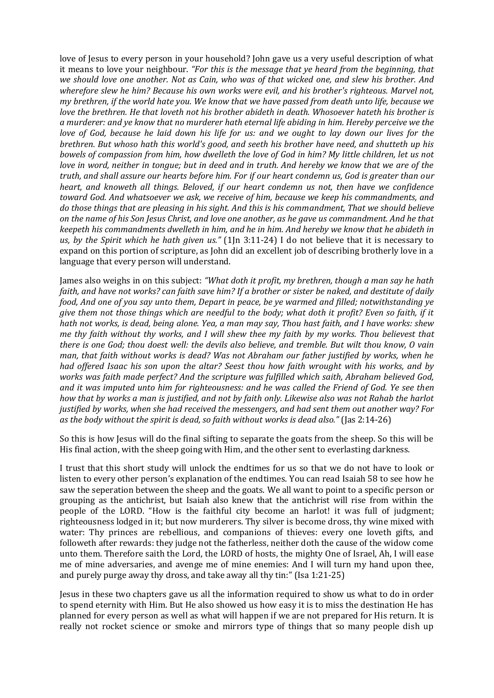love of Jesus to every person in your household? John gave us a very useful description of what it means to love your neighbour. *"For this is the message that ye heard from the beginning, that we should love one another. Not as Cain, who was of that wicked one, and slew his brother. And wherefore slew he him? Because his own works were evil, and his brother's righteous. Marvel not, my brethren, if the world hate you. We know that we have passed from death unto life, because we love the brethren. He that loveth not his brother abideth in death. Whosoever hateth his brother is a murderer: and ye know that no murderer hath eternal life abiding in him. Hereby perceive we the love of God, because he laid down his life for us: and we ought to lay down our lives for the brethren. But whoso hath this world's good, and seeth his brother have need, and shutteth up his bowels of compassion from him, how dwelleth the love of God in him? My little children, let us not love in word, neither in tongue; but in deed and in truth. And hereby we know that we are of the truth, and shall assure our hearts before him. For if our heart condemn us, God is greater than our heart, and knoweth all things. Beloved, if our heart condemn us not, then have we confidence toward God. And whatsoever we ask, we receive of him, because we keep his commandments, and do those things that are pleasing in his sight. And this is his commandment, That we should believe on the name of his Son Jesus Christ, and love one another, as he gave us commandment. And he that keepeth his commandments dwelleth in him, and he in him. And hereby we know that he abideth in us, by the Spirit which he hath given us."* (1Jn 3:11-24) I do not believe that it is necessary to expand on this portion of scripture, as John did an excellent job of describing brotherly love in a language that every person will understand.

James also weighs in on this subject: *"What doth it profit, my brethren, though a man say he hath faith, and have not works? can faith save him? If a brother or sister be naked, and destitute of daily food, And one of you say unto them, Depart in peace, be ye warmed and filled; notwithstanding ye give them not those things which are needful to the body; what doth it profit? Even so faith, if it hath not works, is dead, being alone. Yea, a man may say, Thou hast faith, and I have works: shew me thy faith without thy works, and I will shew thee my faith by my works. Thou believest that there is one God; thou doest well: the devils also believe, and tremble. But wilt thou know, O vain man, that faith without works is dead? Was not Abraham our father justified by works, when he had offered Isaac his son upon the altar? Seest thou how faith wrought with his works, and by works was faith made perfect? And the scripture was fulfilled which saith, Abraham believed God, and it was imputed unto him for righteousness: and he was called the Friend of God. Ye see then how that by works a man is justified, and not by faith only. Likewise also was not Rahab the harlot justified by works, when she had received the messengers, and had sent them out another way? For as the body without the spirit is dead, so faith without works is dead also."* (Jas 2:14-26)

So this is how Jesus will do the final sifting to separate the goats from the sheep. So this will be His final action, with the sheep going with Him, and the other sent to everlasting darkness.

I trust that this short study will unlock the endtimes for us so that we do not have to look or listen to every other person's explanation of the endtimes. You can read Isaiah 58 to see how he saw the seperation between the sheep and the goats. We all want to point to a specific person or grouping as the antichrist, but Isaiah also knew that the antichrist will rise from within the people of the LORD. "How is the faithful city become an harlot! it was full of judgment; righteousness lodged in it; but now murderers. Thy silver is become dross, thy wine mixed with water: Thy princes are rebellious, and companions of thieves: every one loveth gifts, and followeth after rewards: they judge not the fatherless, neither doth the cause of the widow come unto them. Therefore saith the Lord, the LORD of hosts, the mighty One of Israel, Ah, I will ease me of mine adversaries, and avenge me of mine enemies: And I will turn my hand upon thee, and purely purge away thy dross, and take away all thy tin:" (Isa 1:21-25)

Jesus in these two chapters gave us all the information required to show us what to do in order to spend eternity with Him. But He also showed us how easy it is to miss the destination He has planned for every person as well as what will happen if we are not prepared for His return. It is really not rocket science or smoke and mirrors type of things that so many people dish up